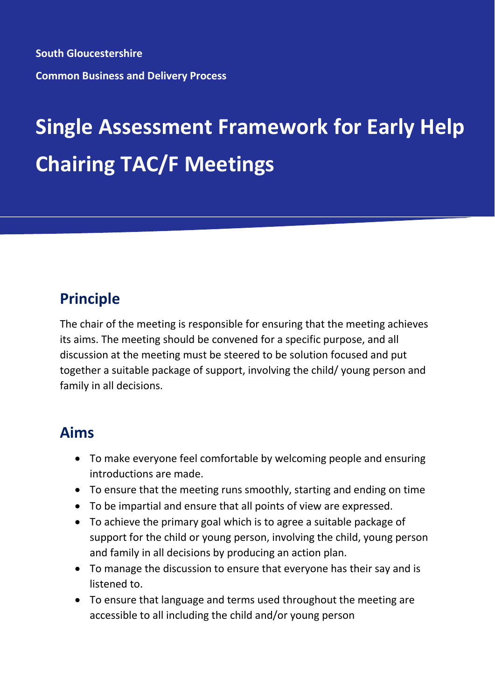**South Gloucestershire Common Business and Delivery Process**

# **Single Assessment Framework for Early Help Chairing TAC/F Meetings**

### **Principle**

The chair of the meeting is responsible for ensuring that the meeting achieves its aims. The meeting should be convened for a specific purpose, and all discussion at the meeting must be steered to be solution focused and put together a suitable package of support, involving the child/ young person and family in all decisions.

#### **Aims**

- To make everyone feel comfortable by welcoming people and ensuring introductions are made.
- To ensure that the meeting runs smoothly, starting and ending on time
- To be impartial and ensure that all points of view are expressed.
- To achieve the primary goal which is to agree a suitable package of support for the child or young person, involving the child, young person and family in all decisions by producing an action plan.
- To manage the discussion to ensure that everyone has their say and is listened to.
- To ensure that language and terms used throughout the meeting are accessible to all including the child and/or young person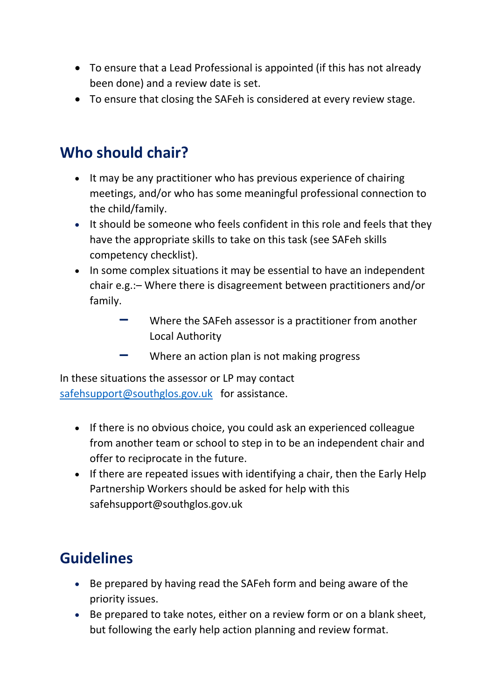- To ensure that a Lead Professional is appointed (if this has not already been done) and a review date is set.
- To ensure that closing the SAFeh is considered at every review stage.

### **Who should chair?**

- It may be any practitioner who has previous experience of chairing meetings, and/or who has some meaningful professional connection to the child/family.
- It should be someone who feels confident in this role and feels that they have the appropriate skills to take on this task (see SAFeh skills competency checklist).
- In some complex situations it may be essential to have an independent chair e.g.:– Where there is disagreement between practitioners and/or family.
	- **–** Where the SAFeh assessor is a practitioner from another Local Authority
	- **–** Where an action plan is not making progress

In these situations the assessor or LP may contact [safehsupport@southglos.gov.uk](mailto:safehsupport@southglos.gov.uk) for assistance.

- If there is no obvious choice, you could ask an experienced colleague from another team or school to step in to be an independent chair and offer to reciprocate in the future.
- If there are repeated issues with identifying a chair, then the Early Help Partnership Workers should be asked for help with this safehsupport@southglos.gov.uk

## **Guidelines**

- Be prepared by having read the SAFeh form and being aware of the priority issues.
- Be prepared to take notes, either on a review form or on a blank sheet, but following the early help action planning and review format.